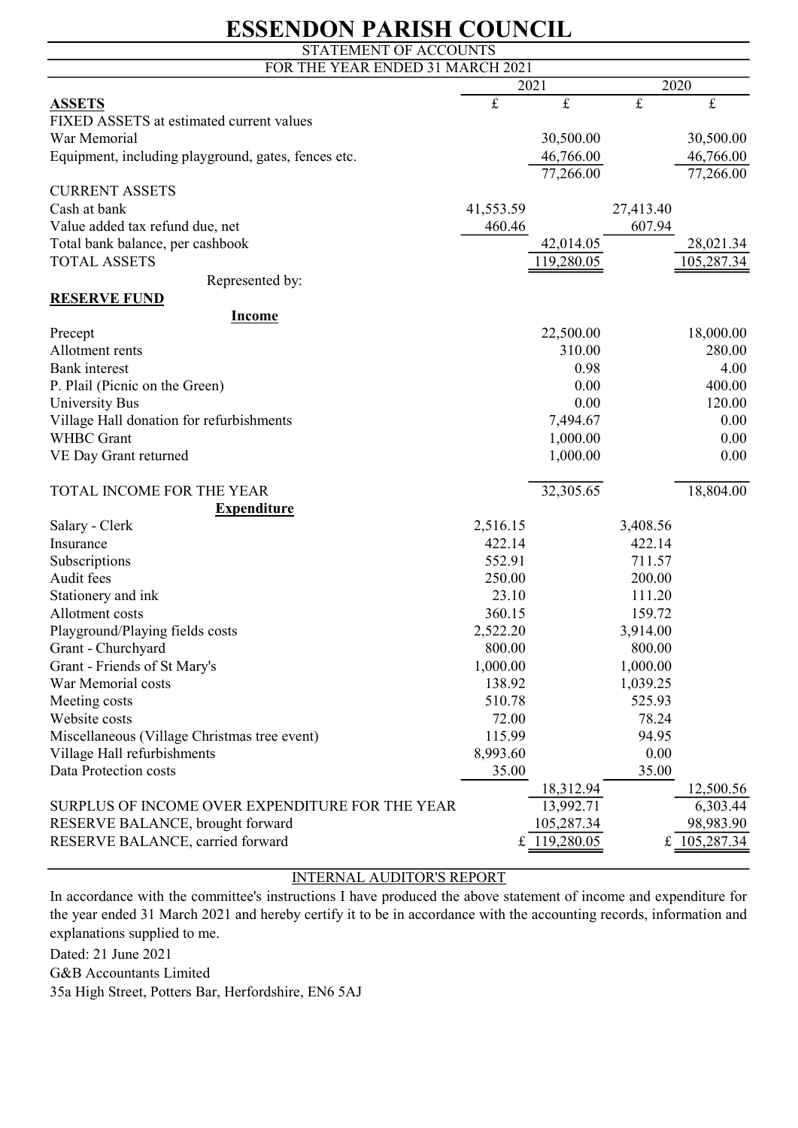### ESSENDON PARISH COUNCIL

| STATEMENT OF ACCOUNTS                               |           |              |                |                |  |  |  |
|-----------------------------------------------------|-----------|--------------|----------------|----------------|--|--|--|
| FOR THE YEAR ENDED 31 MARCH 2021                    |           |              |                |                |  |  |  |
|                                                     | 2021      |              |                | 2020           |  |  |  |
| <b>ASSETS</b>                                       | $\pounds$ | $\pounds$    | $\pounds$      | $\pounds$      |  |  |  |
| FIXED ASSETS at estimated current values            |           |              |                |                |  |  |  |
| War Memorial                                        |           | 30,500.00    |                | 30,500.00      |  |  |  |
| Equipment, including playground, gates, fences etc. |           | 46,766.00    |                | 46,766.00      |  |  |  |
|                                                     |           | 77,266.00    |                | 77,266.00      |  |  |  |
| <b>CURRENT ASSETS</b>                               |           |              |                |                |  |  |  |
| Cash at bank                                        | 41,553.59 |              | 27,413.40      |                |  |  |  |
| Value added tax refund due, net                     | 460.46    |              | 607.94         |                |  |  |  |
| Total bank balance, per cashbook                    |           | 42,014.05    |                | 28,021.34      |  |  |  |
| <b>TOTAL ASSETS</b>                                 |           | 119,280.05   |                | 105,287.34     |  |  |  |
| Represented by:                                     |           |              |                |                |  |  |  |
| <b>RESERVE FUND</b>                                 |           |              |                |                |  |  |  |
| <b>Income</b>                                       |           |              |                |                |  |  |  |
| Precept                                             |           | 22,500.00    |                | 18,000.00      |  |  |  |
| Allotment rents                                     |           | 310.00       |                | 280.00         |  |  |  |
| <b>Bank</b> interest                                |           | 0.98         |                | 4.00           |  |  |  |
| P. Plail (Picnic on the Green)                      |           | 0.00         |                | 400.00         |  |  |  |
| University Bus                                      |           | 0.00         |                | 120.00         |  |  |  |
| Village Hall donation for refurbishments            |           | 7,494.67     |                | 0.00           |  |  |  |
| <b>WHBC</b> Grant                                   |           | 1,000.00     |                | 0.00           |  |  |  |
| VE Day Grant returned                               |           | 1,000.00     |                | 0.00           |  |  |  |
|                                                     |           |              |                |                |  |  |  |
| TOTAL INCOME FOR THE YEAR                           |           | 32,305.65    |                | 18,804.00      |  |  |  |
| <b>Expenditure</b>                                  |           |              |                |                |  |  |  |
| Salary - Clerk                                      | 2,516.15  |              | 3,408.56       |                |  |  |  |
| Insurance                                           | 422.14    |              | 422.14         |                |  |  |  |
| Subscriptions                                       | 552.91    |              | 711.57         |                |  |  |  |
| Audit fees                                          | 250.00    |              | 200.00         |                |  |  |  |
| Stationery and ink                                  | 23.10     |              | 111.20         |                |  |  |  |
| Allotment costs                                     | 360.15    |              | 159.72         |                |  |  |  |
| Playground/Playing fields costs                     | 2,522.20  |              | 3,914.00       |                |  |  |  |
| Grant - Churchyard                                  | 800.00    |              | 800.00         |                |  |  |  |
| Grant - Friends of St Mary's                        | 1,000.00  |              | 1,000.00       |                |  |  |  |
| War Memorial costs                                  | 138.92    |              | 1,039.25       |                |  |  |  |
|                                                     | 510.78    |              | 525.93         |                |  |  |  |
| Meeting costs<br>Website costs                      |           |              |                |                |  |  |  |
|                                                     | 72.00     |              | 78.24<br>94.95 |                |  |  |  |
| Miscellaneous (Village Christmas tree event)        | 115.99    |              |                |                |  |  |  |
| Village Hall refurbishments                         | 8,993.60  |              | 0.00           |                |  |  |  |
| Data Protection costs                               | 35.00     |              | 35.00          |                |  |  |  |
|                                                     |           | 18,312.94    |                | 12,500.56      |  |  |  |
| SURPLUS OF INCOME OVER EXPENDITURE FOR THE YEAR     |           | 13,992.71    |                | 6,303.44       |  |  |  |
| RESERVE BALANCE, brought forward                    |           | 105,287.34   |                | 98,983.90      |  |  |  |
| RESERVE BALANCE, carried forward                    |           | £ 119,280.05 |                | £ $105,287.34$ |  |  |  |

#### INTERNAL AUDITOR'S REPORT

Dated: 21 June 2021 G&B Accountants Limited 35a High Street, Potters Bar, Herfordshire, EN6 5AJ In accordance with the committee's instructions I have produced the above statement of income and expenditure for the year ended 31 March 2021 and hereby certify it to be in accordance with the accounting records, information and explanations supplied to me.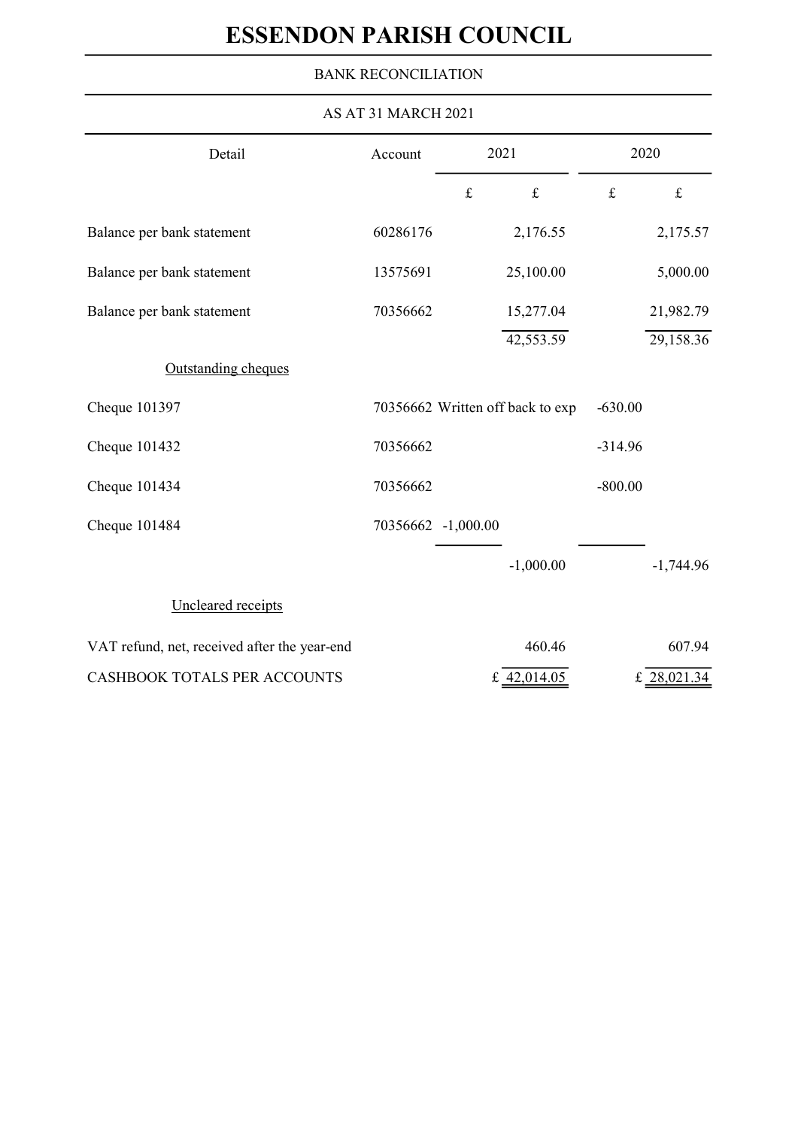# ESSENDON PARISH COUNCIL

### BANK RECONCILIATION

| AS AT 31 MARCH 2021                          |          |                    |                                  |           |             |  |  |
|----------------------------------------------|----------|--------------------|----------------------------------|-----------|-------------|--|--|
| Detail                                       | Account  | 2021               |                                  |           | 2020        |  |  |
|                                              |          | $\pounds$          | $\pounds$                        | $\pounds$ | $\pounds$   |  |  |
| Balance per bank statement                   | 60286176 |                    | 2,176.55                         |           | 2,175.57    |  |  |
| Balance per bank statement                   | 13575691 |                    | 25,100.00                        |           | 5,000.00    |  |  |
| Balance per bank statement                   | 70356662 |                    | 15,277.04                        |           | 21,982.79   |  |  |
|                                              |          |                    | 42,553.59                        |           | 29,158.36   |  |  |
| Outstanding cheques                          |          |                    |                                  |           |             |  |  |
| Cheque 101397                                |          |                    | 70356662 Written off back to exp | $-630.00$ |             |  |  |
| Cheque 101432                                | 70356662 |                    |                                  | $-314.96$ |             |  |  |
| Cheque 101434                                | 70356662 |                    |                                  | $-800.00$ |             |  |  |
| Cheque 101484                                |          | 70356662 -1,000.00 |                                  |           |             |  |  |
|                                              |          |                    | $-1,000.00$                      |           | $-1,744.96$ |  |  |
| Uncleared receipts                           |          |                    |                                  |           |             |  |  |
| VAT refund, net, received after the year-end |          |                    | 460.46                           |           | 607.94      |  |  |
| CASHBOOK TOTALS PER ACCOUNTS                 |          |                    | £ 42,014.05                      |           | £ 28,021.34 |  |  |